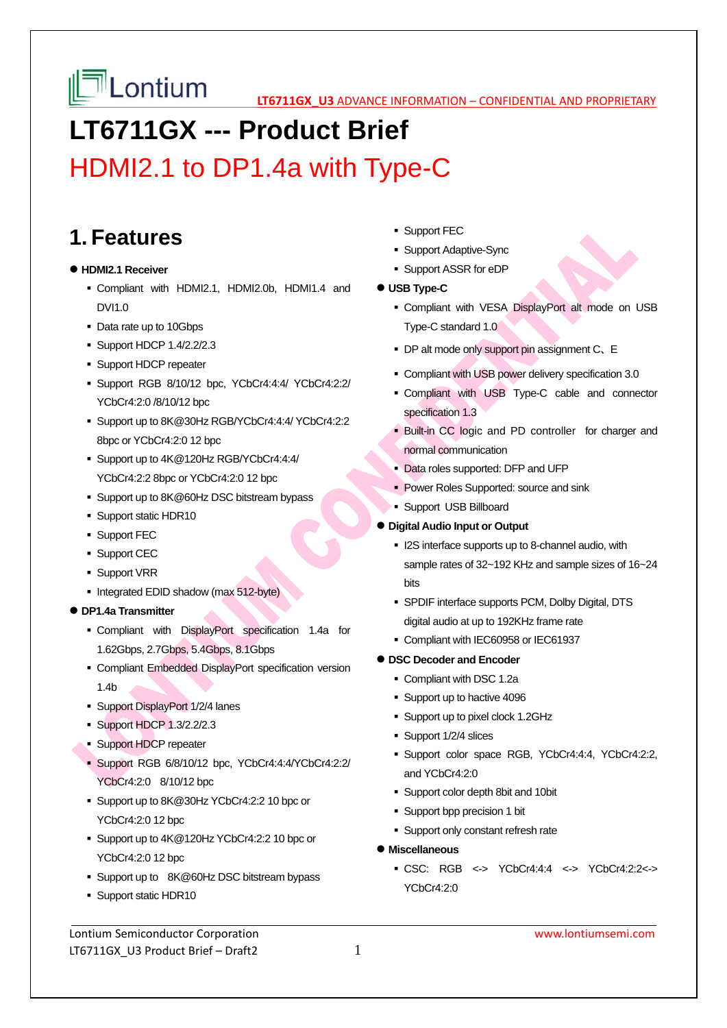**LATE LONIUM LEGENIGX US** ADVANCE INFORMATION – CONFIDENTIAL AND PROPRIETARY

# **LT6711GX --- Product Brief**

## HDMI2.1 to DP1.4a with Type-C

### **1. Features**

#### **HDMI2.1 Receiver**

- Compliant with HDMI2.1, HDMI2.0b, HDMI1.4 and DVI1.0
- Data rate up to 10Gbps
- **Support HDCP 1.4/2.2/2.3**
- **Support HDCP repeater**
- Support RGB 8/10/12 bpc, YCbCr4:4:4/ YCbCr4:2:2/ YCbCr4:2:0 /8/10/12 bpc
- Support up to 8K@30Hz RGB/YCbCr4:4:4/ YCbCr4:2:2 8bpc or YCbCr4:2:0 12 bpc
- Support up to 4K@120Hz RGB/YCbCr4:4:4/ YCbCr4:2:2 8bpc or YCbCr4:2:0 12 bpc
- Support up to 8K@60Hz DSC bitstream bypass
- Support static HDR10
- **Support FEC**
- **Support CEC**
- **Support VRR**
- Integrated EDID shadow (max 512-byte)
- **DP1.4a Transmitter** 
	- Compliant with DisplayPort specification 1.4a for 1.62Gbps, 2.7Gbps, 5.4Gbps, 8.1Gbps
	- Compliant Embedded DisplayPort specification version 1.4b
	- **Support DisplayPort 1/2/4 lanes**
	- **Support HDCP 1.3/2.2/2.3**
	- **Support HDCP repeater**
	- Support RGB 6/8/10/12 bpc, YCbCr4:4:4/YCbCr4:2:2/ YCbCr4:2:0 8/10/12 bpc
	- Support up to 8K@30Hz YCbCr4:2:2 10 bpc or YCbCr4:2:0 12 bpc
	- Support up to 4K@120Hz YCbCr4:2:2 10 bpc or YCbCr4:2:0 12 bpc
	- Support up to 8K@60Hz DSC bitstream bypass
	- Support static HDR10

Lontium Semiconductor Corporation www.lontiumsemi.com LT6711GX\_U3 Product Brief – Draft2 1

- **Support FEC**
- Support Adaptive-Sync
- Support ASSR for eDP
- **USB Type-C** 
	- Compliant with VESA DisplayPort alt mode on USB Type-C standard 1.0
	- DP alt mode only support pin assignment C、E
	- Compliant with USB power delivery specification 3.0
	- Compliant with USB Type-C cable and connector specification 1.3
	- Built-in CC logic and PD controller for charger and normal communication
	- Data roles supported: DFP and UFP
	- **Power Roles Supported: source and sink**
	- **Support USB Billboard**
- **Digital Audio Input or Output** 
	- **ICO** interface supports up to 8-channel audio, with sample rates of 32~192 KHz and sample sizes of 16~24 bits
	- SPDIF interface supports PCM, Dolby Digital, DTS digital audio at up to 192KHz frame rate
	- Compliant with IEC60958 or IEC61937

#### **DSC Decoder and Encoder**

- Compliant with DSC 1.2a
- Support up to hactive 4096
- Support up to pixel clock 1.2GHz
- Support 1/2/4 slices
- Support color space RGB, YCbCr4:4:4, YCbCr4:2:2, and YCbCr4:2:0
- Support color depth 8bit and 10bit
- Support bpp precision 1 bit
- **Support only constant refresh rate**
- **Miscellaneous** 
	- CSC: RGB <-> YCbCr4:4:4 <-> YCbCr4:2:2<-> YCbCr4:2:0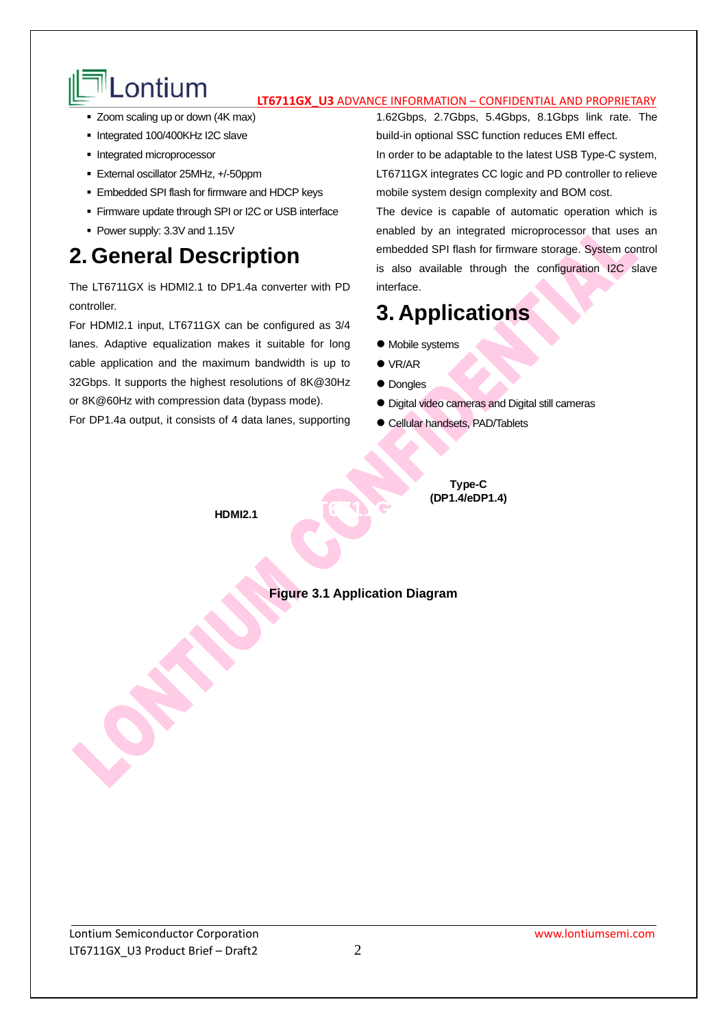# Lontium **IT6711GX U3** ADVANCE INFORMATION – CONFIDENTIAL AND PROPRIETARY

- Zoom scaling up or down (4K max)
- Integrated 100/400KHz I2C slave
- Integrated microprocessor
- External oscillator 25MHz, +/-50ppm
- **Embedded SPI flash for firmware and HDCP keys**
- Firmware update through SPI or I2C or USB interface
- Power supply: 3.3V and 1.15V

### **2. General Description**

The LT6711GX is HDMI2.1 to DP1.4a converter with PD controller.

For HDMI2.1 input, LT6711GX can be configured as 3/4 lanes. Adaptive equalization makes it suitable for long cable application and the maximum bandwidth is up to 32Gbps. It supports the highest resolutions of 8K@30Hz or 8K@60Hz with compression data (bypass mode).

For DP1.4a output, it consists of 4 data lanes, supporting

1.62Gbps, 2.7Gbps, 5.4Gbps, 8.1Gbps link rate. The build-in optional SSC function reduces EMI effect. In order to be adaptable to the latest USB Type-C system, LT6711GX integrates CC logic and PD controller to relieve mobile system design complexity and BOM cost.

The device is capable of automatic operation which is enabled by an integrated microprocessor that uses an embedded SPI flash for firmware storage. System control is also available through the configuration I2C slave interface.

### **3. Applications**

- $\bullet$  Mobile systems
- VR/AR
- Dongles
- Digital video cameras and Digital still cameras
- Cellular handsets, PAD/Tablets

**Type-C (DP1.4/eDP1.4)**

**HDMI2.1**

### **Figure 3.1 Application Diagram**

**LEGGE**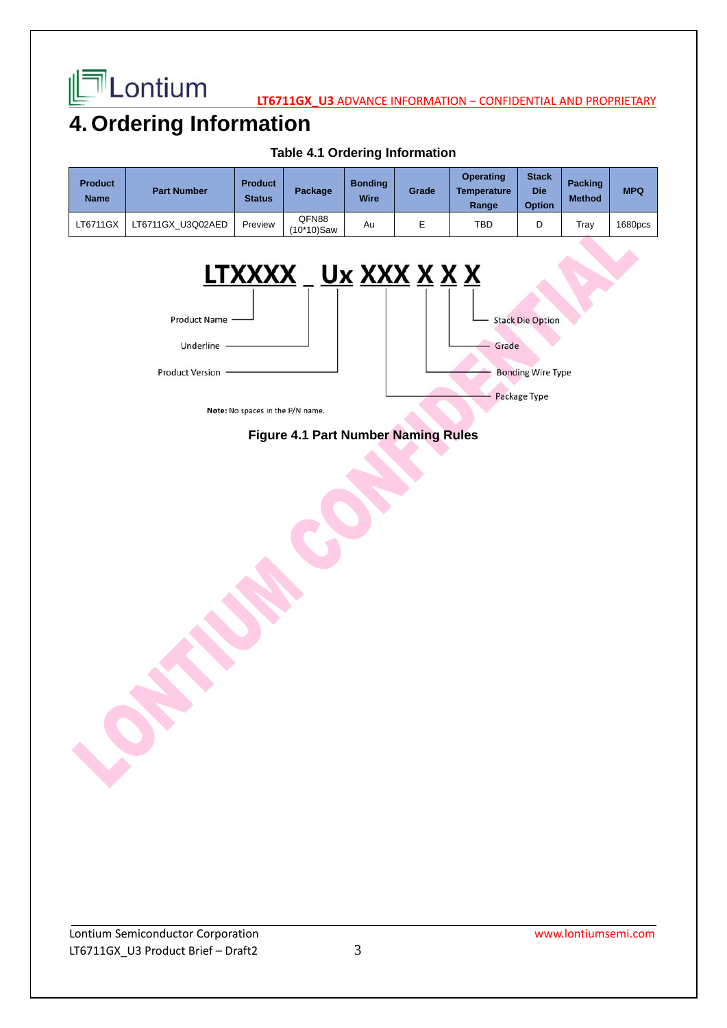

**LATE LONTIUM** 

### **4. Ordering Information**

| <b>Product</b><br><b>Name</b> | <b>Part Number</b> | <b>Product</b><br><b>Status</b> | Package             | <b>Bonding</b><br>Wire | Grade | <b>Operating</b><br><b>Temperature</b><br>Range | <b>Stack</b><br><b>Die</b><br><b>Option</b> | <b>Packing</b><br><b>Method</b> | <b>MPQ</b> |
|-------------------------------|--------------------|---------------------------------|---------------------|------------------------|-------|-------------------------------------------------|---------------------------------------------|---------------------------------|------------|
| LT6711GX                      | LT6711GX U3Q02AED  | Preview                         | QFN88<br>(10*10)Saw | Au                     |       | TBD                                             | D                                           | Tray                            | 1680pcs    |

#### **Table 4.1 Ordering Information**



### **Figure 4.1 Part Number Naming Rules**